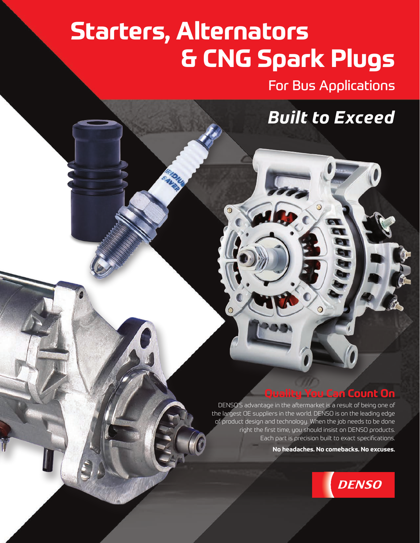# **Starters, Alternators & CNG Spark Plugs**

For Bus Applications

*Built to Exceed*

## **Quality You Can Count On**

DENSO'S advantage in the aftermarket is a result of being one of the largest OE suppliers in the world. DENSO is on the leading edge of product design and technology. When the job needs to be done right the first time, you should insist on DENSO products. Each part is precision built to exact specifications.

**No headaches. No comebacks. No excuses.**